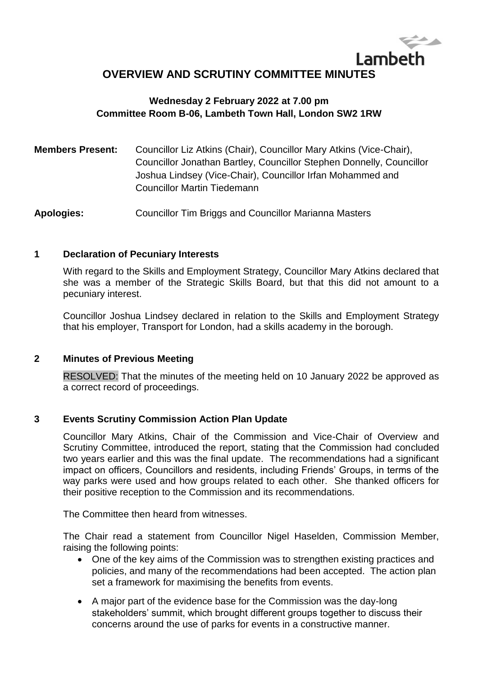# Lambeth **OVERVIEW AND SCRUTINY COMMITTEE MINUTES**

## **Wednesday 2 February 2022 at 7.00 pm Committee Room B-06, Lambeth Town Hall, London SW2 1RW**

| <b>Members Present:</b> | Councillor Liz Atkins (Chair), Councillor Mary Atkins (Vice-Chair),  |
|-------------------------|----------------------------------------------------------------------|
|                         | Councillor Jonathan Bartley, Councillor Stephen Donnelly, Councillor |
|                         | Joshua Lindsey (Vice-Chair), Councillor Irfan Mohammed and           |
|                         | Councillor Martin Tiedemann                                          |

**Apologies:** Councillor Tim Briggs and Councillor Marianna Masters

#### **1 Declaration of Pecuniary Interests**

With regard to the Skills and Employment Strategy, Councillor Mary Atkins declared that she was a member of the Strategic Skills Board, but that this did not amount to a pecuniary interest.

Councillor Joshua Lindsey declared in relation to the Skills and Employment Strategy that his employer, Transport for London, had a skills academy in the borough.

### **2 Minutes of Previous Meeting**

RESOLVED: That the minutes of the meeting held on 10 January 2022 be approved as a correct record of proceedings.

### **3 Events Scrutiny Commission Action Plan Update**

Councillor Mary Atkins, Chair of the Commission and Vice-Chair of Overview and Scrutiny Committee, introduced the report, stating that the Commission had concluded two years earlier and this was the final update. The recommendations had a significant impact on officers, Councillors and residents, including Friends' Groups, in terms of the way parks were used and how groups related to each other. She thanked officers for their positive reception to the Commission and its recommendations.

The Committee then heard from witnesses.

The Chair read a statement from Councillor Nigel Haselden, Commission Member, raising the following points:

- One of the key aims of the Commission was to strengthen existing practices and policies, and many of the recommendations had been accepted. The action plan set a framework for maximising the benefits from events.
- A major part of the evidence base for the Commission was the day-long stakeholders' summit, which brought different groups together to discuss their concerns around the use of parks for events in a constructive manner.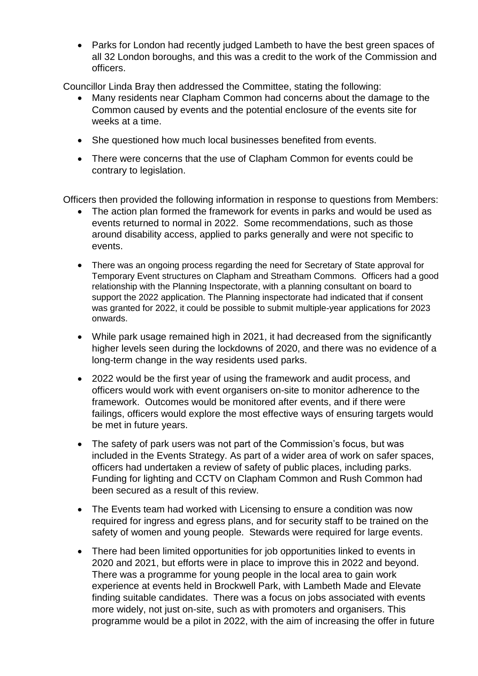• Parks for London had recently judged Lambeth to have the best green spaces of all 32 London boroughs, and this was a credit to the work of the Commission and officers.

Councillor Linda Bray then addressed the Committee, stating the following:

- Many residents near Clapham Common had concerns about the damage to the Common caused by events and the potential enclosure of the events site for weeks at a time.
- She questioned how much local businesses benefited from events.
- There were concerns that the use of Clapham Common for events could be contrary to legislation.

Officers then provided the following information in response to questions from Members:

- The action plan formed the framework for events in parks and would be used as events returned to normal in 2022. Some recommendations, such as those around disability access, applied to parks generally and were not specific to events.
- There was an ongoing process regarding the need for Secretary of State approval for Temporary Event structures on Clapham and Streatham Commons. Officers had a good relationship with the Planning Inspectorate, with a planning consultant on board to support the 2022 application. The Planning inspectorate had indicated that if consent was granted for 2022, it could be possible to submit multiple-year applications for 2023 onwards.
- While park usage remained high in 2021, it had decreased from the significantly higher levels seen during the lockdowns of 2020, and there was no evidence of a long-term change in the way residents used parks.
- 2022 would be the first year of using the framework and audit process, and officers would work with event organisers on-site to monitor adherence to the framework. Outcomes would be monitored after events, and if there were failings, officers would explore the most effective ways of ensuring targets would be met in future years.
- The safety of park users was not part of the Commission's focus, but was included in the Events Strategy. As part of a wider area of work on safer spaces, officers had undertaken a review of safety of public places, including parks. Funding for lighting and CCTV on Clapham Common and Rush Common had been secured as a result of this review.
- The Events team had worked with Licensing to ensure a condition was now required for ingress and egress plans, and for security staff to be trained on the safety of women and young people. Stewards were required for large events.
- There had been limited opportunities for job opportunities linked to events in 2020 and 2021, but efforts were in place to improve this in 2022 and beyond. There was a programme for young people in the local area to gain work experience at events held in Brockwell Park, with Lambeth Made and Elevate finding suitable candidates. There was a focus on jobs associated with events more widely, not just on-site, such as with promoters and organisers. This programme would be a pilot in 2022, with the aim of increasing the offer in future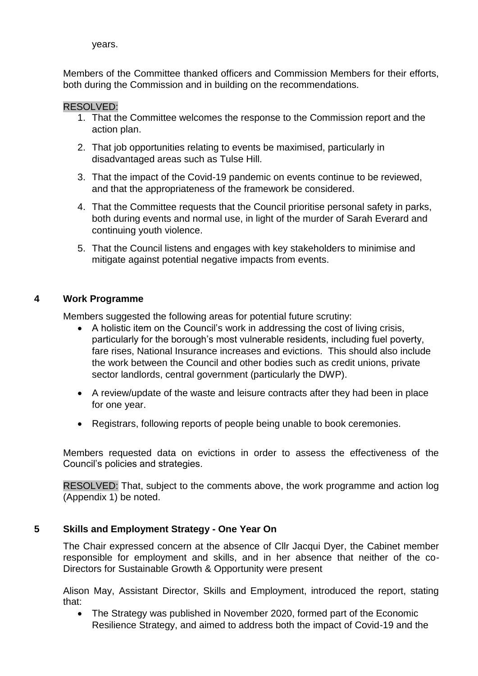years.

Members of the Committee thanked officers and Commission Members for their efforts, both during the Commission and in building on the recommendations.

#### RESOLVED:

- 1. That the Committee welcomes the response to the Commission report and the action plan.
- 2. That job opportunities relating to events be maximised, particularly in disadvantaged areas such as Tulse Hill.
- 3. That the impact of the Covid-19 pandemic on events continue to be reviewed, and that the appropriateness of the framework be considered.
- 4. That the Committee requests that the Council prioritise personal safety in parks, both during events and normal use, in light of the murder of Sarah Everard and continuing youth violence.
- 5. That the Council listens and engages with key stakeholders to minimise and mitigate against potential negative impacts from events.

### **4 Work Programme**

Members suggested the following areas for potential future scrutiny:

- A holistic item on the Council's work in addressing the cost of living crisis, particularly for the borough's most vulnerable residents, including fuel poverty, fare rises, National Insurance increases and evictions. This should also include the work between the Council and other bodies such as credit unions, private sector landlords, central government (particularly the DWP).
- A review/update of the waste and leisure contracts after they had been in place for one year.
- Registrars, following reports of people being unable to book ceremonies.

Members requested data on evictions in order to assess the effectiveness of the Council's policies and strategies.

RESOLVED: That, subject to the comments above, the work programme and action log (Appendix 1) be noted.

### **5 Skills and Employment Strategy - One Year On**

The Chair expressed concern at the absence of Cllr Jacqui Dyer, the Cabinet member responsible for employment and skills, and in her absence that neither of the co-Directors for Sustainable Growth & Opportunity were present

Alison May, Assistant Director, Skills and Employment, introduced the report, stating that:

 The Strategy was published in November 2020, formed part of the Economic Resilience Strategy, and aimed to address both the impact of Covid-19 and the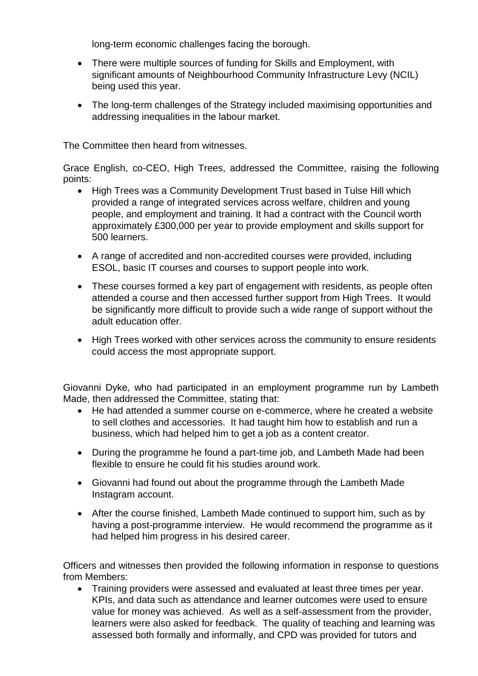long-term economic challenges facing the borough.

- There were multiple sources of funding for Skills and Employment, with significant amounts of Neighbourhood Community Infrastructure Levy (NCIL) being used this year.
- The long-term challenges of the Strategy included maximising opportunities and addressing inequalities in the labour market.

The Committee then heard from witnesses.

Grace English, co-CEO, High Trees, addressed the Committee, raising the following points:

- High Trees was a Community Development Trust based in Tulse Hill which provided a range of integrated services across welfare, children and young people, and employment and training. It had a contract with the Council worth approximately £300,000 per year to provide employment and skills support for 500 learners.
- A range of accredited and non-accredited courses were provided, including ESOL, basic IT courses and courses to support people into work.
- These courses formed a key part of engagement with residents, as people often attended a course and then accessed further support from High Trees. It would be significantly more difficult to provide such a wide range of support without the adult education offer.
- High Trees worked with other services across the community to ensure residents could access the most appropriate support.

Giovanni Dyke, who had participated in an employment programme run by Lambeth Made, then addressed the Committee, stating that:

- He had attended a summer course on e-commerce, where he created a website to sell clothes and accessories. It had taught him how to establish and run a business, which had helped him to get a job as a content creator.
- During the programme he found a part-time job, and Lambeth Made had been flexible to ensure he could fit his studies around work.
- Giovanni had found out about the programme through the Lambeth Made Instagram account.
- After the course finished, Lambeth Made continued to support him, such as by having a post-programme interview. He would recommend the programme as it had helped him progress in his desired career.

Officers and witnesses then provided the following information in response to questions from Members:

 Training providers were assessed and evaluated at least three times per year. KPIs, and data such as attendance and learner outcomes were used to ensure value for money was achieved. As well as a self-assessment from the provider, learners were also asked for feedback. The quality of teaching and learning was assessed both formally and informally, and CPD was provided for tutors and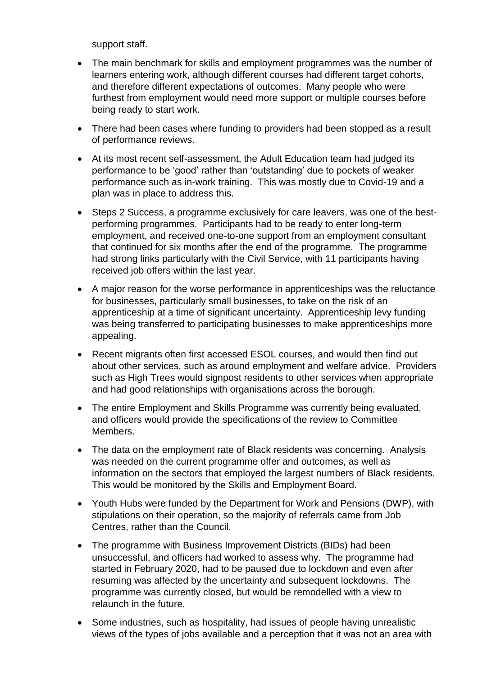support staff.

- The main benchmark for skills and employment programmes was the number of learners entering work, although different courses had different target cohorts, and therefore different expectations of outcomes. Many people who were furthest from employment would need more support or multiple courses before being ready to start work.
- There had been cases where funding to providers had been stopped as a result of performance reviews.
- At its most recent self-assessment, the Adult Education team had judged its performance to be 'good' rather than 'outstanding' due to pockets of weaker performance such as in-work training. This was mostly due to Covid-19 and a plan was in place to address this.
- Steps 2 Success, a programme exclusively for care leavers, was one of the bestperforming programmes. Participants had to be ready to enter long-term employment, and received one-to-one support from an employment consultant that continued for six months after the end of the programme. The programme had strong links particularly with the Civil Service, with 11 participants having received job offers within the last year.
- A major reason for the worse performance in apprenticeships was the reluctance for businesses, particularly small businesses, to take on the risk of an apprenticeship at a time of significant uncertainty. Apprenticeship levy funding was being transferred to participating businesses to make apprenticeships more appealing.
- Recent migrants often first accessed ESOL courses, and would then find out about other services, such as around employment and welfare advice. Providers such as High Trees would signpost residents to other services when appropriate and had good relationships with organisations across the borough.
- The entire Employment and Skills Programme was currently being evaluated, and officers would provide the specifications of the review to Committee Members.
- The data on the employment rate of Black residents was concerning. Analysis was needed on the current programme offer and outcomes, as well as information on the sectors that employed the largest numbers of Black residents. This would be monitored by the Skills and Employment Board.
- Youth Hubs were funded by the Department for Work and Pensions (DWP), with stipulations on their operation, so the majority of referrals came from Job Centres, rather than the Council.
- The programme with Business Improvement Districts (BIDs) had been unsuccessful, and officers had worked to assess why. The programme had started in February 2020, had to be paused due to lockdown and even after resuming was affected by the uncertainty and subsequent lockdowns. The programme was currently closed, but would be remodelled with a view to relaunch in the future.
- Some industries, such as hospitality, had issues of people having unrealistic views of the types of jobs available and a perception that it was not an area with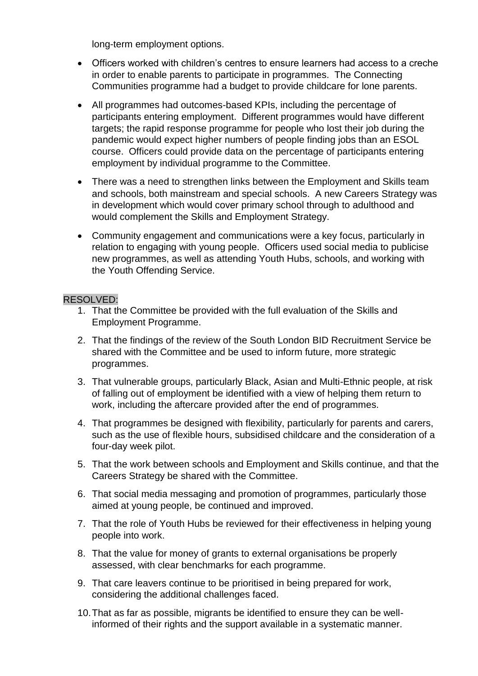long-term employment options.

- Officers worked with children's centres to ensure learners had access to a creche in order to enable parents to participate in programmes. The Connecting Communities programme had a budget to provide childcare for lone parents.
- All programmes had outcomes-based KPIs, including the percentage of participants entering employment. Different programmes would have different targets; the rapid response programme for people who lost their job during the pandemic would expect higher numbers of people finding jobs than an ESOL course. Officers could provide data on the percentage of participants entering employment by individual programme to the Committee.
- There was a need to strengthen links between the Employment and Skills team and schools, both mainstream and special schools. A new Careers Strategy was in development which would cover primary school through to adulthood and would complement the Skills and Employment Strategy.
- Community engagement and communications were a key focus, particularly in relation to engaging with young people. Officers used social media to publicise new programmes, as well as attending Youth Hubs, schools, and working with the Youth Offending Service.

#### RESOLVED:

- 1. That the Committee be provided with the full evaluation of the Skills and Employment Programme.
- 2. That the findings of the review of the South London BID Recruitment Service be shared with the Committee and be used to inform future, more strategic programmes.
- 3. That vulnerable groups, particularly Black, Asian and Multi-Ethnic people, at risk of falling out of employment be identified with a view of helping them return to work, including the aftercare provided after the end of programmes.
- 4. That programmes be designed with flexibility, particularly for parents and carers, such as the use of flexible hours, subsidised childcare and the consideration of a four-day week pilot.
- 5. That the work between schools and Employment and Skills continue, and that the Careers Strategy be shared with the Committee.
- 6. That social media messaging and promotion of programmes, particularly those aimed at young people, be continued and improved.
- 7. That the role of Youth Hubs be reviewed for their effectiveness in helping young people into work.
- 8. That the value for money of grants to external organisations be properly assessed, with clear benchmarks for each programme.
- 9. That care leavers continue to be prioritised in being prepared for work, considering the additional challenges faced.
- 10.That as far as possible, migrants be identified to ensure they can be wellinformed of their rights and the support available in a systematic manner.